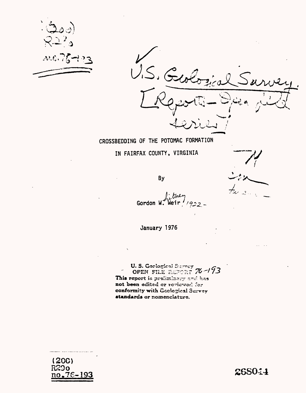



## CROSSBEDDING OF THE POTOMAC FORMATION

IN FAIRFAX COUNTY, VIRGINIA

**By** 

Gordon W. Weir

January 1976

U.S. Geological Survey 76-193 This report is prefiminary and has not been edited or reviewed for conformity with Geological Survey standards or nomenclature.

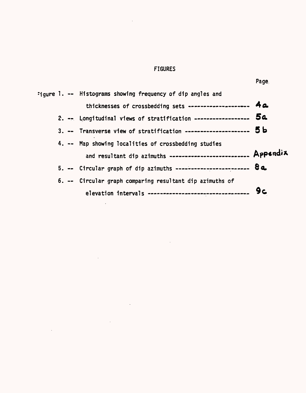## FIGURES

 $\overline{\phantom{a}}$ 

 $\epsilon$ 

 $\bar{z}$ 

 $\ddot{\phantom{a}}$ 

 $\ddot{\phantom{a}}$ 

|  | :jqure 1. -- Histograms showing frequency of dip angles and        |    |
|--|--------------------------------------------------------------------|----|
|  | thicknesses of crossbedding sets -------------------- 4a           |    |
|  | 2. -- Longitudinal views of stratification ------------------ 5a   |    |
|  | 3. -- Transverse view of stratification --------------------- 5b   |    |
|  | 4. -- Map showing localities of crossbedding studies               |    |
|  | and resultant dip azimuths ------------------------- Appendix      |    |
|  | 5. -- Circular graph of dip azimuths ------------------------ $8a$ |    |
|  | 6. -- Circular graph comparing resultant dip azimuths of           |    |
|  | elevation intervals -------------------------------                | 9c |

 $\ddot{\phantom{a}}$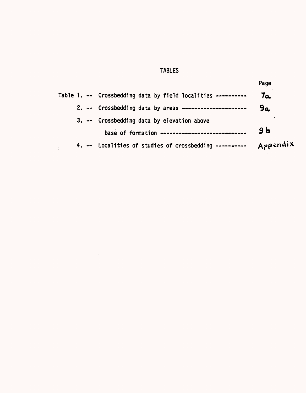# TABLES

 $\mathcal{L}^{\text{max}}_{\text{max}}$ 

 $\mathcal{L}^{\text{max}}_{\text{max}}$ 

|                                                              | Page           |
|--------------------------------------------------------------|----------------|
| Table 1. -- Crossbedding data by field localities ---------- | 7a             |
| 2. -- Crossbedding data by areas ---------------------       | 9a             |
| 3. -- Crossbedding data by elevation above                   |                |
| base of formation ----------------------------               | 9 <sub>b</sub> |
| 4. -- Localities of studies of crossbedding ----------       | Appendix       |

 $\mathcal{L}^{\text{max}}_{\text{max}}$  ,  $\mathcal{L}^{\text{max}}_{\text{max}}$ 

 $\hat{\mathcal{L}}_{\text{max}}$  and  $\hat{\mathcal{L}}_{\text{max}}$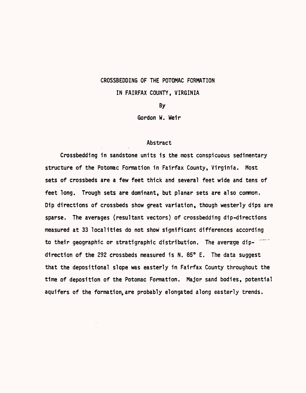### CROSSBEDDING OF THE POTOMAC FORMATION

### IN FAIRFAX COUNTY, VIRGINIA

By

Gordon W. Weir

### Abstract

Crossbedding in sandstone units is the most conspicuous sedimentary structure of the Potomac Formation in Fairfax County, Virginia. Most sets of crossbeds are a few feet thick and several feet wide and tens of feet long. Trough sets are dominant, but planar sets are also common. Dip directions of crossbeds show great variation, though westerly dips are sparse. The averages (resultant vectors) of crossbedding dip-directions measured at 33 localities do not show significant differences according to their geographic or stratigraphic distribution. The average dipdirection of the 292 crossbeds measured is N. 85° E. The data suggest that the depositional slope was easterly in Fairfax County throughout the time of deposition of the Potomac Formation. Major sand bodies, potential aquifers of the formation,are probably elongated along easterly trends.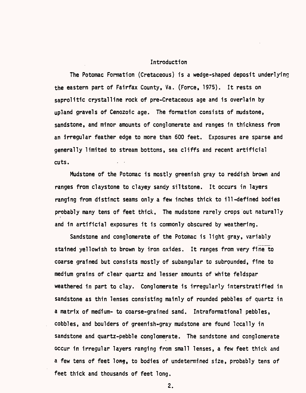### Introduction

The Potomac Formation (Cretaceous) is a wedge-shaped deposit underlying the eastern part of Fairfax County, Va. (Force, 1975). It rests on saprolitic crystalline rock of pre-Cretaceous age and is overlain by upland gravels of Cenozoic age. The formation consists of mudstone, sandstone, and minor amounts of conglomerate and ranges in thickness from an irregular feather edge to more than 600 feet. Exposures are sparse and generally limited to stream bottoms, sea cliffs and recent artificial cuts.

Mudstone of the Potomac is mostly greenish gray to reddish brown and ranges from claystone to clayey sandy siltstone. It occurs in layers ranging from distinct seams only a few inches thick to ill-defined bodies probably many tens of feet thick. The mudstone rarely crops out naturally and in artificial exposures it is commonly obscured by weathering.

Sandstone and conglomerate of the Potomac is light gray, variably stained yellowish to brown by iron oxides. It ranges from very fine to coarse grained but consists mostly of subangular to subrounded, fine to medium grains of clear quartz and lesser amounts of white feldspar weathered in part to clay. Conglomerate is irregularly interstratified in sandstone as thin lenses consisting mainly of rounded pebbles of quartz in a matrix of medium- to coarse-grained sand. Intraformational pebbles, cobbles, and boulders of greenish-gray mudstone are found locally in sandstone and quartz-pebble conglomerate. The sandstone and conglomerate occur in irregular layers ranging from small lenses, a few feet thick and a few tens of feet long, to bodies of undetermined size, probably tens of feet thick and thousands of feet long.

2.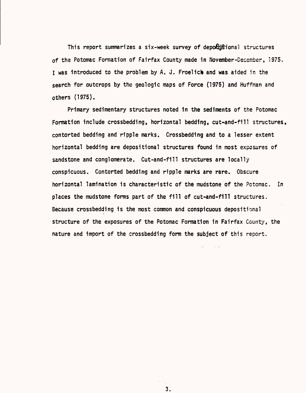This report summarizes a six-week survey of depolistional structures of tha Potomac Formation of Fairfax County made in November-December, 1975. I was introduced to the problem by A. J. Froelich and was aided in the search for outcrops by the geologic maps of Force (1975) and Huffman and others (1975).

Primary sedimentary structures noted in the sediments of the Potomac Formation include crossbedding, horizontal bedding, cut-and-fill structures, contorted bedding and ripple marks. Crossbedding and to a lesser extent horizontal bedding are depositional structures found in most exposures of sandstone and conglomerate. Cut-and-fill structures are locally conspicuous. Contorted bedding and ripple marks are rare. Obscure horizontal lamination is characteristic of the mudstone of the Potomac. In places the mudstone forms part of the fill of cut-and-fill structures. Because crossbedding is the most common and conspicuous depositional structure of the exposures of the Potomac Formation in Fairfax County, the nature and import of the crossbedding form the subject of this report.

3.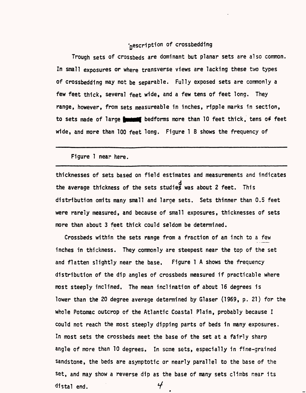## inescription of crossbedding

Trough sets of crossbeds are dominant but planar sets are also common. In small exposures or where transverse views are lacking these two types of crossbedding may not be separable. Fully exposed sets are commonly a few feet thick, several feet wide, and a few tens of feet long. They range, however, from sets measureable in inches, ripple marks in section, to sets made of large **funded** bedforms more than 10 feet thick, tens of feet wide, and more than 100 feet long. Figure 1 B shows the frequency of

Figure 1 near here.

thicknesses of sets based on field estimates and measurements and indicates the average thickness of the sets studie£ was about 2 feet. This distribution omits many small and large sets. Sets thinner than 0.5 feet were rarely measured, and because of small exposures, thicknesses of sets more than about 3 feet thick could seldom be determined.

Crossbeds within the sets range from a fraction of an inch to a few inches in thickness. They commonly are steepest near the top of the set and flatten slightly near the base. Figure 1 A shows the frequency distribution of the dip angles of crossbeds measured if practicable where most steeply inclined. The mean inclination of about 16 degrees is lower than the 20 degree average determined by Glaser (1969, p. 21) for the whole Potomac outcrop of the Atlantic Coastal Plain, probably because I could not reach the most steeply dipping parts of beds in many exposures. In most sets the crossbeds meet the base of the set at a fairly sharp angle of more than 10 degrees. In seme sets, especially in fine-grained sandstone, the beds are asymptotic or nearly parallel to the base of the set, and may show a reverse dip as the base of many sets climbs near its  $\boldsymbol{\mathcal{F}}$ distal end.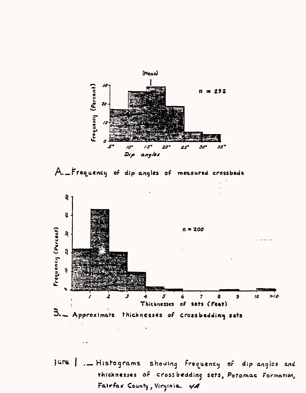





 $34$ re . Histograms showing frequency of dip angles and thicknesses of crossbedding sets, Potomac Formation, Fairfax County, Virginia. 4A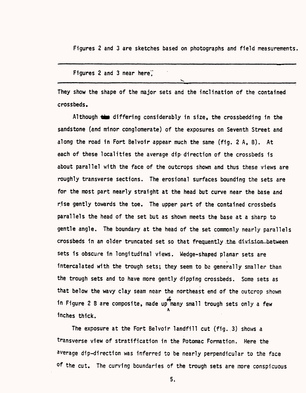Figures 2 and 3 are sketches based on photographs and field measurements

Figures 2 and 3 near here',' ^\_\_\_\_\_\_ -\_\_-\_\_\_^\_\_\_\_\_\_\_^\_\_\_\_\_\_\_\_\_\_\_\_\_\_\_\_\_\_\_\_\_\_\_\_\_\_\_\_\_\_\_\_\_\_\_\_\_

They show the shape of the major sets and the inclination of the contained crossbeds.

Although  $\frac{1}{2}$  differing considerably in size, the crossbedding in the sandstone (and minor conglomerate) of the exposures on Seventh Street and along the road in Fort Belvoir appear much the same (fig. 2 A, B). At each of these localities the average dip-direction of the crossbeds is about parallel with the face of the outcrops shown and thus these views are roughly transverse sections. The erosional surfaces bounding the sets are for the most part nearly straight at the head but curve near the base and rise gently towards the toe. The upper part of the contained crossbeds parallels the head of the set but as shown meets the base at a sharp to gentle angle. The boundary at the head of the set commonly nearly parallels crossbeds in an older truncated set so that frequently the division between sets is obscure in longitudinal views. Wedge-shaped planar sets are intercalated with the trough sets; they seem to be generally smaller than the trough sets and to have more gently dipping crossbeds. Some sets as that below the wavy clay seam near the northeast end of the outcrop shown £ in Figure 2 B are composite, made up many small trough sets only a few A Inches thick.

The exposure at the Fort Belvoir landfill cut (fig..3} shows a transverse view of stratification in the Potomac Formation. Here the average dip-direction was inferred to be nearly perpendicular to the face of the cut. The curving boundaries of the trough sets are more conspicuous

5.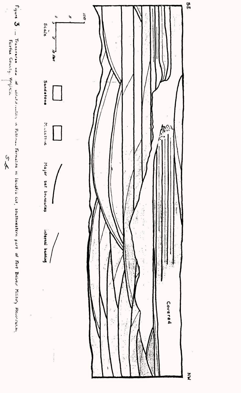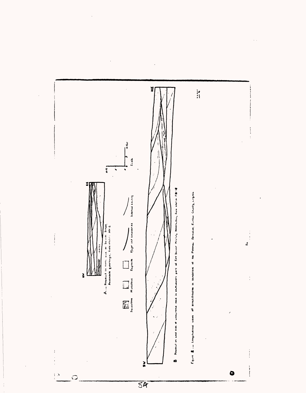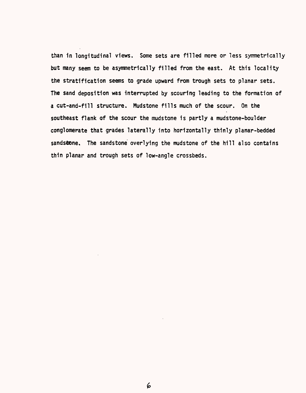than in longitudinal views. Some sets are filled more or less symmetrically but many seem to be asymmetrically filled from the east. At this locality the stratification seems to grade upward from trough sets to planar sets. The sand deposition was interrupted by scouring leading to the formation of a cut-and-fill structure. Mudstone fills much of the scour. On the southeast flank of the scour the mudstone is partly a mudstone-boulder conglomerate that grades laterally into horizontally thinly planar-bedded sandstone. The sandstone overlying the mudstone of the hill also contains thin planar and trough sets of low-angle crossbeds.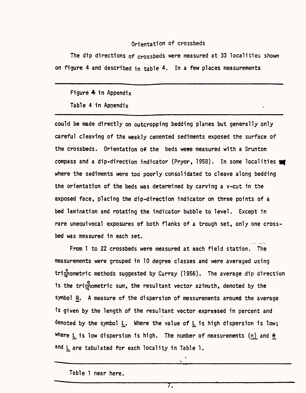### Orientation of crossbeds

The dip directions of crossbeds were measured at 33 localities shown on figure 4 and described in table 4. In a few places measurements

### Figure  $4$  in Appendix

Table 4 in Appendix

could be made directly on outcropping bedding planes but generally only careful cleaving of the weakly cemented sediments exposed the surface of the crossbeds. Orientation of the beds weee measured with a Brunton compass and a dip-direction indicator (Pryor, 1958). In some localities was where the sediments were too poorly consolidated to cleave along bedding the orientation of the beds was determined by carving a v-cut in the exposed face, placing the dip-direction indicator on three points of a bed lamination and rotating the indicator bubble to level. Except in rare unequivocal exposures of both flanks of a trough set, only one crossbed was measured in each set.

From 1 to 22 crossbeds were measured at each field station. The measurements were grouped in 10 degree classes and were averaged using trignometric methods suggested by Curray (1956). The average dip direction is the trignometric sum, the resultant vector azimuth, denoted by the symbol  $\Theta$ . A measure of the dispersion of measurements around the average \*s given by the length of the resultant vector expressed in percent and denoted by the symbol L. Where the value of L is high dispersion is low; Where L is low dispersion is high. The number of measurements (n) and  $\theta$ and L are tabulated for each locality in Table 1.

Table 1 near here.

7.

 $\ddot{\phantom{0}}$ V.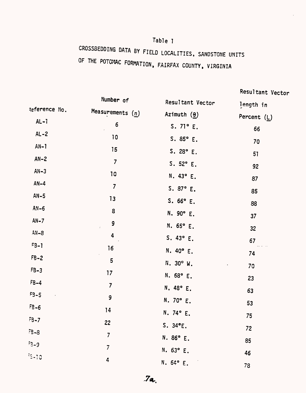# Table 1

CROSSBEDDING DATA BY FIELD LOCALITIES, SANDSTONE UNITS OF THE POTOMAC FORMATION, FAIRFAX COUNTY, VIRGINIA

Resultant Vector

Number of Resultant Vector length in Reference No. Measurements  $(n)$ Azimuth  $(\theta)$ Percent  $(L)$  $AL - 1$  $6\phantom{1}$ S.  $71^{\circ}$  E. 66  $AL-2$  $10$ S.  $85^{\circ}$  E. 70  $AN-1$ 15  $S. 28° E.$ 51  $AN-2$  $\overline{7}$ S.  $52^{\circ}$  E. 92  $AN-3$  $10$ N. 43° E. 87  $AN-4$  $\overline{7}$  $S. 87° E.$ 85  $AN-5$  $13$ S.  $66^{\circ}$  E. 88  $AN-6$ 8  $N. 90° E.$  $37$  $AN - 7$ 9  $N. 65° E.$  $32<sub>2</sub>$  $AN-8$  $\ddot{4}$ S.  $43^{\circ}$  E. 67  $F3-1$  $16$ N.  $40^{\circ}$  E. 74  $FB-2$ 5 N. 30° W. 70  $FB-3$  $17$  $N. 68° E.$ 23  $FB-4$  $\overline{7}$ N. 48° E. 63  $F3-5$ 9  $N. 70° E.$ 53  $FB-6$  $14$  $N.74^{\circ} E.$ 75  $FB-7$ 22  $S. 34^{\circ}E.$ 72  $-8-3$  $7<sup>7</sup>$  $N.86° E.$ 85  $5 - 9$  $\overline{7}$  $N. 63° E.$ 46  $35 - 10$ 4  $N.64° E.$ 78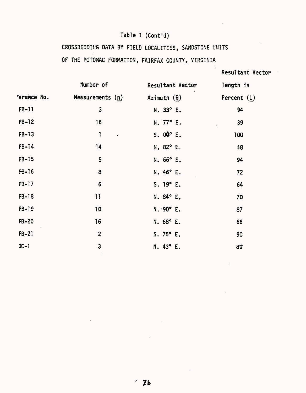# Table 1 (Cont'd)

# CROSSBEDDING DATA BY FIELD LOCALITIES, SANDSTONE UNITS

## OF THE POTOMAC FORMATION, FAIRFAX COUNTY, VIRGINIA

# Resultant Vector

|             | Number of               | Resultant Vector                | length in     |
|-------------|-------------------------|---------------------------------|---------------|
| ference No. | Measurements $(n)$      | Azimuth $(\theta)$              | Percent $(L)$ |
| FB-11       | $\mathbf{3}$            | $N.33^{\circ}$ E.               | 94            |
| $FB-12$     | 16                      | N. 77° E.                       | 39            |
| $FB-13$     | $\mathbf{1}$            | $S. 04^{\circ} E.$<br>$\bar{.}$ | 100           |
| $FB-14$     | 14                      | $N.82^{\circ}$ E.               | 48            |
| $FB-15$     | 5                       | N. 66° E.                       | 94            |
| $FB-16$     | 8                       | N. 46° E.                       | 72            |
| $FB-17$     | $6\phantom{1}6$         | S. 19° E.                       | 64            |
| $FB-18$     | 11                      | N. 84° E.                       | 70            |
| $FB-19$     | 10                      | $N.90^{\circ}$ E.               | 87            |
| $FB-20$     | 16                      | N. 68° E.                       | 66            |
| $FB-21$     | $\mathbf{2}$            | $S.75^{\circ} E.$               | 90            |
| $OC-1$      | $\overline{\mathbf{3}}$ | N. 43° E.                       | 89            |

 $\bar{\mathcal{A}}$ 

 $\sim$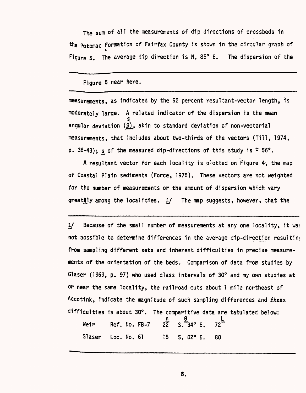The sum of all the measurements of dip directions of crossbeds in the potomac Formation of Fairfax County is shown in the circular graph of Figure 5. The average dip direction is N, 85° E. The dispersion of the

### Figure 5 near here.

measurements, as indicated by the 52 percent resultant-vector length, is moderately large. A related indicator of the dispersion is the mean s angular deviation  $(\underline{s})$ , akin to standard deviation of non-vectorial measurements, that includes about two-thirds of the vectors (Till, 1974, p. 38-43); s of the measured dip-directions of this study is  $\pm$  56°.

A resultant vector for each locality is plotted on Figure 4, the map of Coastal Plain sediments (Force, 1975). These vectors are not weighted for the number of measurements or the amount of dispersion which vary greatly among the localities.  $1/$  The map suggests, however, that the

 $1/$  Because of the small number of measurements at any one locality, it was not possible to determine differences in the average dip-direction resulting from sampling different sets and inherent difficulties in precise measurements of the orientation of the beds. Comparison of data from studies by Glaser (1969, p. 97) who used class intervals of 30° and my own studies at or near the same locality, the railroad cuts about 1 mile northeast of Accotink, indicate the magnitude of such sampling differences and **fistx** difficulties is about 30°. The comparitive data are tabulated below: n 9 L

Weir Ref. No. FB-7 22" S.~34° E. 72" Glaser Loc. No. 61 15 S. 02° E. 30

8,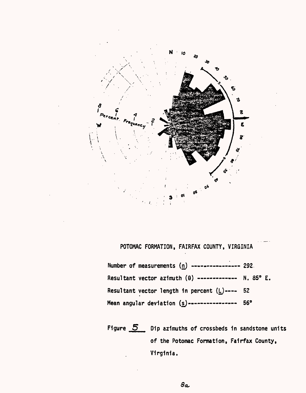

POTOMAC FORMATION, FAIRFAX COUNTY, VIRGINIA

Number of measurements  $(n)$  --------------- 292. Resultant vector azimuth  $(\theta)$  ------------ N. 85° E. Resultant vector length in percent  $(L)$  ---- 52 Mean angular deviation  $(s)$  --------------- 56°

Figure  $\overline{5}$  Dip azimuths of crossbeds in sandstone units of the Potomac Formation, Fairfax County, Virginia.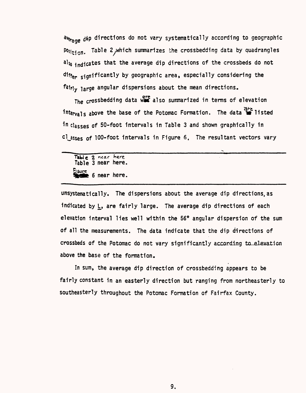average dip directions do not vary systematically according to geographic  $\frac{p_{0s}}{t}$  . Table 2, which summarizes the crossbedding data by quadrangles  $a$ l<sub>so ind</sub>icates that the average dip directions of the crossbeds do not differ significantly by geographic area, especially considering the fairly large angular dispersions about the mean directions.

The crossbedding data was also summarized in terms of elevation intervals above the base of the Potomac Formation. The data is listed in classes of 50-foot intervals in Table 3 and shown graphically in  $c$ l asses of 100-foot intervals in Figure 6. The resultant vectors vary

2 near here Table 3 near here. Eigure 6 near here.

unsystematically. The dispersions about the average dip directions,as indicated by L, are fairly large. The average dip directions of each elevation interval lies well within the 56° angular dispersion of the sum of all the measurements. The data indicate that the dip directions of crossbeds of the Potomac do not vary significantly accarding to elevation above the base of the formation.

In sum, the average dip direction of crossbedding appears to be fairly constant in an easterly direction but ranging from northeasterly to southeasterly throughout the Potomac Formation of Fairfax County.

9.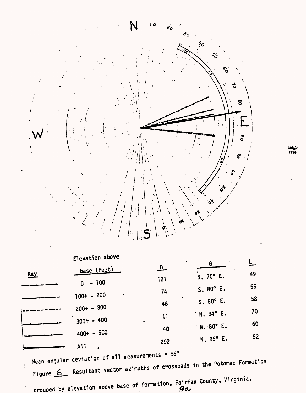

|            | Elevation above  |              | $\bullet$              |    |
|------------|------------------|--------------|------------------------|----|
| <b>Key</b> | base (feet)      | $\mathbf{n}$ | θ<br>$N.70^{\circ}$ E. | 49 |
|            | $-100$<br>Ò      | 121          | $S.80^\circ E.$        | 55 |
|            | $100+ - 200$     | 74           | S. 80° E.              | 58 |
|            | $200+ - 300$     | 46<br>11     | $N.84^{\circ} E.$      | 70 |
|            | $300+ - 400$     | 40           | N. 80° E.              | 60 |
|            | $400+ - 500$     | 292          | N. 85° E.              | 52 |
|            | A11<br>$\bullet$ |              |                        |    |

Mean angular deviation of all measurements = 56° Figure 6 Resultant vector azimuths of crossbeds in the Potomac Formation

crouped by elevation above base of formation, Fairfax County, Virginia.

1976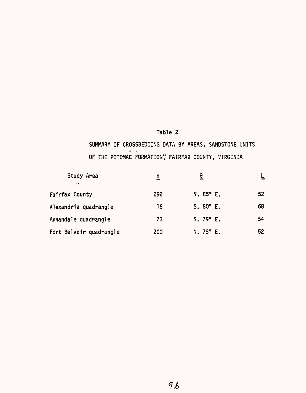# Table 2

 $\bar{\bar{z}}$ 

 $\mathcal{L}^{\text{max}}_{\text{max}}$ 

SUMMARY OF CROSSBEDDING DATA BY AREAS, SANDSTONE UNITS  $\cdots$ OF THE POTOMAC FORMATION? FAIRFAX COUNTY, VIRGINIA

 $\mathcal{L}^{\text{max}}_{\text{max}}$  , where  $\mathcal{L}^{\text{max}}_{\text{max}}$ 

| Study Area<br>$\cdot$   | $\overline{\mathbf{n}}$ | θ                 |    |
|-------------------------|-------------------------|-------------------|----|
| Fairfax County          | 292                     | $N.85^{\circ}$ E. | 52 |
| Alexandria quadrangle   | 16.                     | S. 80° E.         | 68 |
| Annandale quadrangle    | 73                      | S.79°E.           | 54 |
| Fort Belvoir quadrangle | 200                     | $N.78^{\circ}$ E. | 52 |

 $\mathcal{L}^{\text{max}}_{\text{max}}$  and  $\mathcal{L}^{\text{max}}_{\text{max}}$ 

 $\sim 10^{-10}$ 

 $\mathcal{L}^{\text{max}}_{\text{max}}$  and  $\mathcal{L}^{\text{max}}_{\text{max}}$ 

 $\sim$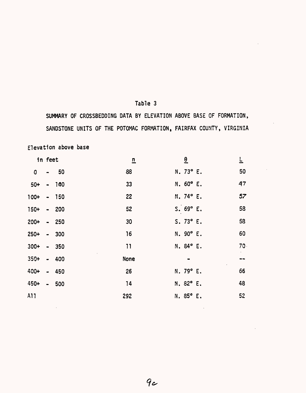# Table 3

SUMMARY OF CROSSBEDDING DATA BY ELEVATION ABOVE BASE OF FORMATION, SANDSTONE UNITS OF THE POTOMAC FORMATION, FAIRFAX COUNTY, VIRGINIA

Elevation above base

|  | $\overline{\mathbf{n}}$                                                                                                                                     |  |                | $\overline{r}$                                                                                                                      |
|--|-------------------------------------------------------------------------------------------------------------------------------------------------------------|--|----------------|-------------------------------------------------------------------------------------------------------------------------------------|
|  | 88                                                                                                                                                          |  |                | 50                                                                                                                                  |
|  | 33                                                                                                                                                          |  |                | 47                                                                                                                                  |
|  | 22                                                                                                                                                          |  |                | 57                                                                                                                                  |
|  | 52                                                                                                                                                          |  |                | 58                                                                                                                                  |
|  | 30                                                                                                                                                          |  |                | 58                                                                                                                                  |
|  | 16                                                                                                                                                          |  |                | 60                                                                                                                                  |
|  | 11                                                                                                                                                          |  |                | $70 -$                                                                                                                              |
|  | <b>None</b>                                                                                                                                                 |  |                | --                                                                                                                                  |
|  | 26                                                                                                                                                          |  |                | 66                                                                                                                                  |
|  | 14                                                                                                                                                          |  |                | 48                                                                                                                                  |
|  | 292                                                                                                                                                         |  |                | 52                                                                                                                                  |
|  | in feet<br>$-50$<br>$50+ - 100$<br>$100+ - 150$<br>$150+ - 200$<br>$200+ - 250$<br>$250+ - 300$<br>$300+ - 350$<br>$350+ - 400$<br>400+ - 450<br>450+ - 500 |  | $\overline{6}$ | N. 73° E.<br>N. 60° E.<br>N. 74° E.<br>S.69°E.<br>$S.73^{\circ}E.$<br>N. 90° E.<br>N. 84° E.<br>N. 79° E.<br>N. 82° E.<br>N. 85° E. |

 $9c$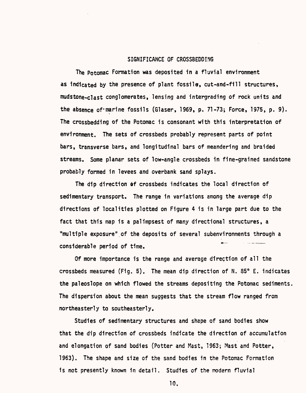### SIGNIFICANCE OF CROSS8EDDING

The Potomac Formation was deposited in a fluvial environment as Indicated by the presence of plant fossils, cut-and-fill structures, mudstone-clast conglomerates, Tensing and intergrading of rock units and the absence of'marine fossils (Glaser, 1969, p. 71-73; Force, 1975, p. 9). The crossbedding of the Potomac is consonant with this interpretation of environment. The sets of crossbeds probably represent parts of point bars, transverse bars, and longitudinal bars of meandering and braided streams. Some planar sets of low-angle crossbeds in fine-grained sandstone probably formed in levees and overbank sand splays.

The dip direction of crossbeds indicates the local direction of sedimentary transport. The range in variations among the average dip directions of localities plotted on Figure 4 is in large part due to the fact that this map is a palimpsest of many directional structures, a "multiple exposure" of the deposits of several subenvironments through a considerable period of time. \*

Of more importance is the range and average direction of all the crossbeds measured (Fig. 5). The mean dip direction of N. 85° E. indicates the paleoslope on which flowed the streams depositing the Potomac sediments. The dispersion about the mean suggests that the stream flow ranged from northeasterly to southeasterly.

Studies of sedimentary structures and shape of sand bodies show that the dip direction of crossbeds indicate the direction of accumulation and elongation of sand bodies (Potter and Mast, 1963; Mast and Potter, 1963). The shape and size of the sand bodies in the Potomac Formation is not presently known in detail. Studies of the modern fluvial

10.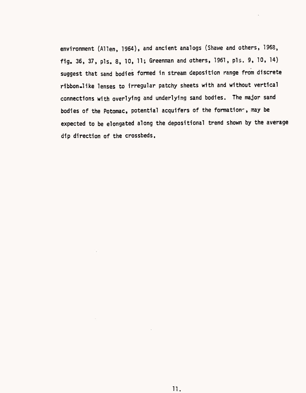environment (Alien, 1964), and ancient analogs (Shawe and others, 1968, fig. 36, 37, pis, 8, 10, 11; Greenman and others, 1961, pis. 9, 10, 14) suggest that sand bodies formed in stream deposition range from discrete ribbon.like lenses to irregular patchy sheets with and without vertical connections with overlying and underlying sand bodies. The major sand bodies of the Potomac, potential acquifers of the formations, may be expected to be elongated along the depositional trend shown by the average dip direction of the crossbeds.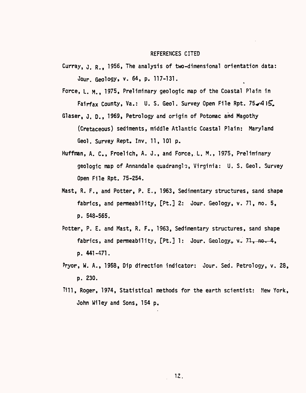#### REFERENCES CITED

- Curray,  $J. R.$  1956, The analysis of two-dimensional orientation data: Jour. Geology, v. 64, p. 117-131. \*
- Force, L. M., 1975, Preliminary geologic map of the Coastal Plain in Fairfax County, Va.: U. S. Geol. Survey Open File Rpt. 75 $\blacktriangleright$ 4 I $\blacktriangleright$ .
- Glaser, J. D., 1969, Petrology and origin of Potomac and Magothy (Cretaceous) sediments, middle Atlantic Coastal Plain: Maryland Geol. Survey Rept. Inv. 11, 101 p.
- Huffman, A. C., Froelich, A. J., and Force, L. M., 1975, Preliminary geologic map of Annandale quadrangle, Virginia: U. S. Geol. Survey Open File Rpt. 75-254.
- Mast, R. F., and Potter, P. E., 1963, Sedimentary structures, sand shape fabrics, and permeability, [Pt.] 2: Jour. Geology, v. 71, no. 5, p. 548-565.
- Potter, P. E. and Mast, R. F., 1963, Sedimentary structures, sand shape fabrics, and permeability,  $[Pt.]$  1: Jour. Geology,  $v^2$ ,  $71$ , no. 4, p. 441-471.
- Pryor, W. A., 1958, Dip direction indicator: Jour. Sed. Petrology, v. 28, p. 230.
- Till, Roger, 1974, Statistical methods for the earth scientist: Mew York, John Wiley and Sons, 154 p.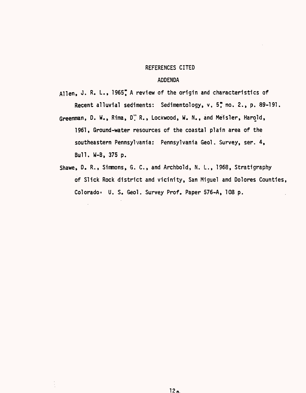#### REFERENCES CITED

### ADDENDA

Allen, J. R. L., 1965" A review of the origin and characteristics of Recent alluvial sediments: Sedimentology, v. 57 no. 2., p. 89-191.

- Greenman, D. W., Rima, D. R., Lockwood, W. N., and Meisler, Harold, 1961, Ground-water resources of the coastal plain area of the southeastern Pennsylvania: Pennsylvania Geol. Survey, ser. 4, Bull. W-B, 375 p.
- Shawe, D, R., Sinmons, G. C., and Archbold, N. L., 1968, Stratigraphy of Slick Rock district and vicinity, San Miguel and Dolores Counties, Colorado: U. S. Geol. Survey Prof. Paper 576-A, 108 p.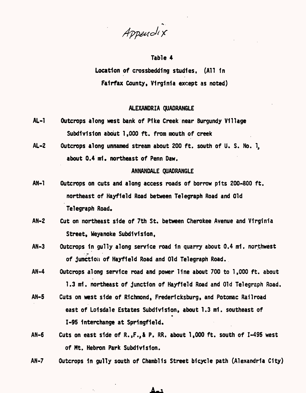Appendix

### Table 4

Location of crosshedding studies. (All 1n Fairfax County. Virginia except as noted)

### ALEXANDRIA QUADRANGLE

- AL-1 Outcrops along west bank of P1ke Creek near Burgundy Village Subdivision about 1,000 ft. from mouth of creek
- AL-2 Outcrops along unnamed stream about 200 ft. south of U. S. No. 1, about 0.4 mi. northeast of Penn Daw.

### ANNANDALE QUADRANGLE

- AN-1 Outcrops on cuts and along access roads of borrow pits 200-800 ft. northeast of Hayfleld Road between Telegraph Road and Old Telegraph Road,
- AN-2 Cut on northeast side of 7th St. between Cherokee Avenue and Virginia Street, Weyanoke Subdivision,
- AN-3 Outcrops in gully along service road in quarry about 0.4 mi, northwest of junction of Hayfleld Road and Old Telegraph Road.
- AN-4 Outcrops along service road and power line about 700 to 1,000 ft. about 1.3 ml. northeast of junction of Hayfleld Road and Old Telegraph Road.
- AN-5 Cuts on west side of Richmond, Frederfcksburg, and Potomac Railroad east of Loisdale Estates Subdivision, about 1.3 mi. southeast of 1-95 Interchange at Springfield.
- AN-6 Cuts on east side of R.,F.,& P. RR. about 1,000 ft. south of 1-495 west of Mt. Hebron Park Subdivision.
- AN-7 Outcrops 1n gully south of Chamblls Street bicycle path (Alexandria City)

حمك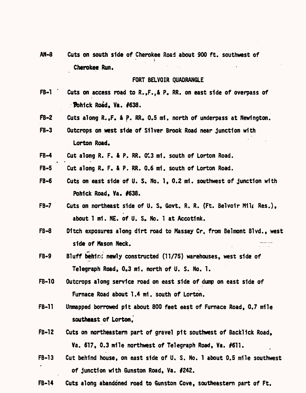AN-8 Cuts on south side of Cherokee Road about 900 ft. southwest of Cherokee Run.

### FORT BELVOIR QUADRANGLE

- FB-1 ' Cuts on access road to R.,F.,& P. RR. on east side of overpass of **Fohick Road, Va. #638.**
- ft-2 Cuts along R.,F. & P. RR. 0.5 mi, north of underpass at Newlngton.
- FB-3 Outcrops on west side of Silver Brook Road near junction with Lorton Road.
- FB-4 Cut along R. F. & P. RR. 0.3 mi. south of Lorton Road.

% \* \*

- FB-5 Cut along R. F. & P. RR. 0.6 mi. south of Lorton Road.
- FB-6 Cuts on east side of U.S. No. 1, 0.2 mi. southwest of junction with Pohick Road, Va. #638.
- FB-7 Cuts on northeast side of U. S. Govt. R. R. (Ft. Belvoir Mil Res.), about 1 mi. NE. of U. S. No. 1 at Accotink.
- FB-8 Ditch exposures along dirt road to Massey Cr. from Belmont Blvd., west side of Mason Neck.
- FB-9 Bluff behind newly constructed (11/75) warehouses, west side of Telegraph Road, 0.3 mi. north of U. S. No. 1.
- FB-10 Outcrops along service road on east side of dump on east side of Furnace Road about 1.4 mi. south of Lorton.
- FB-11 Unmapped borrowed pit about 800 feet east of Furnace Road, 0.7 mile southeast of Lorton,
- FB-12 Cuts on northeastern part of gravel pit southwest of Backlick Road, Va. 617, 0.3 mile northwest of Telegraph Road, Va. #611.
- FB-13 Cut behind house, on east side of U. S. No. 1 about 0.5 mile southwest of junction with Gunston Road, Va. #242.
- FB-14 Cuts along abandoned road to Gunston Cove, southeastern part of Ft.